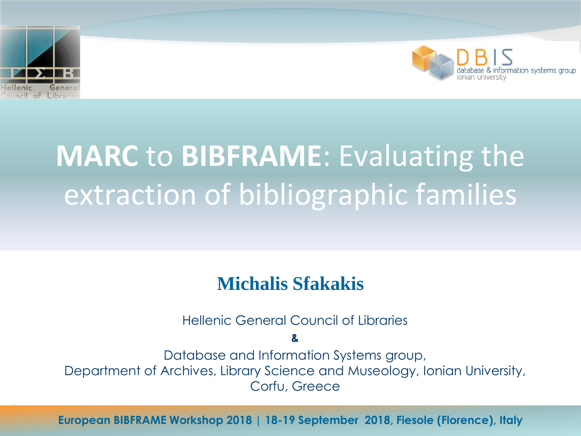



# **MARC** to **BIBFRAME**: Evaluating the extraction of bibliographic families

#### **Michalis Sfakakis**

Hellenic General Council of Libraries

**&**

Database and Information Systems group, Department of Archives, Library Science and Museology, Ionian University, Corfu, Greece

European BIBFRAME Workshop 2018 | 18-19 September 2018, Fiesole (Florence), Italy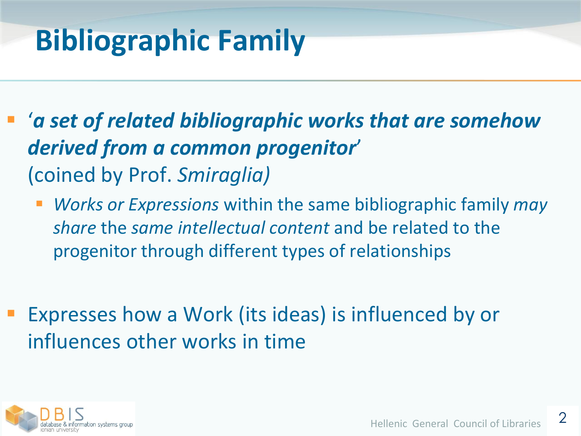## **Bibliographic Family**

- '*a set of related bibliographic works that are somehow derived from a common progenitor*' (coined by Prof. *Smiraglia)*
	- *Works or Expressions* within the same bibliographic family *may share* the *same intellectual content* and be related to the progenitor through different types of relationships
- Expresses how a Work (its ideas) is influenced by or influences other works in time

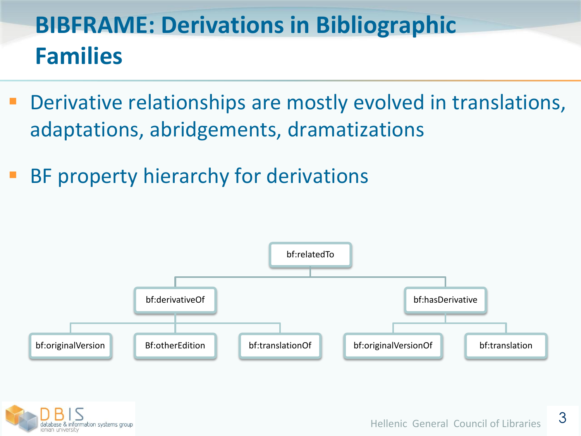## **BIBFRAME: Derivations in Bibliographic Families**

- Derivative relationships are mostly evolved in translations, adaptations, abridgements, dramatizations
- BF property hierarchy for derivations



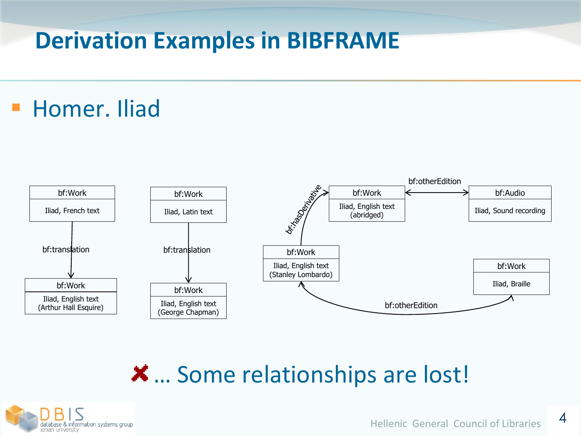#### **Derivation Examples in BIBFRAME**

### Homer. Iliad



… Some relationships are lost!

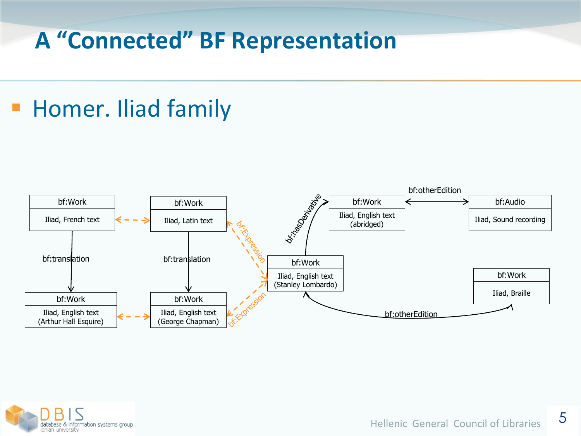#### **A "Connected" BF Representation**

### Homer. Iliad family



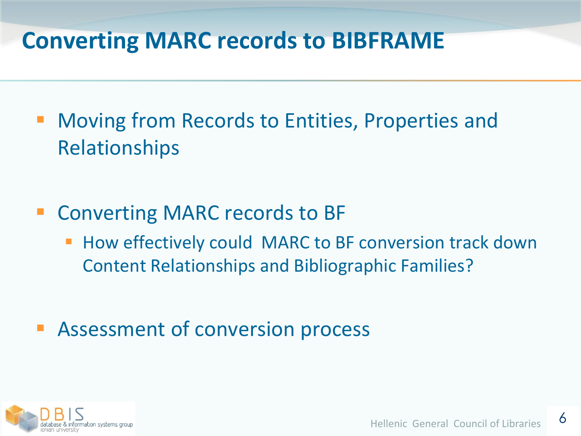#### **Converting MARC records to BIBFRAME**

- Moving from Records to Entities, Properties and Relationships
- Converting MARC records to BF
	- **How effectively could MARC to BF conversion track down** Content Relationships and Bibliographic Families?
- Assessment of conversion process

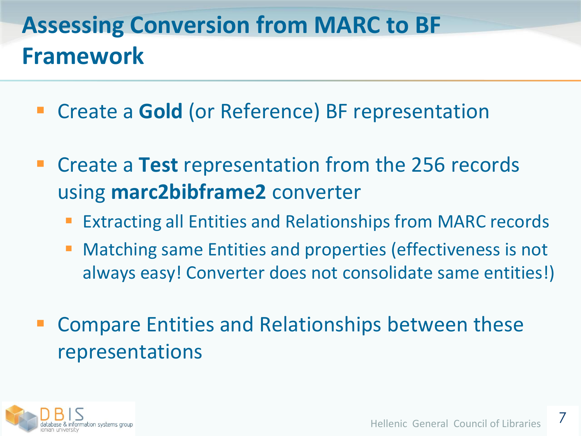### **Assessing Conversion from MARC to BF Framework**

- Create a **Gold** (or Reference) BF representation
- Create a **Test** representation from the 256 records using **marc2bibframe2** converter
	- Extracting all Entities and Relationships from MARC records
	- Matching same Entities and properties (effectiveness is not always easy! Converter does not consolidate same entities!)
- Compare Entities and Relationships between these representations

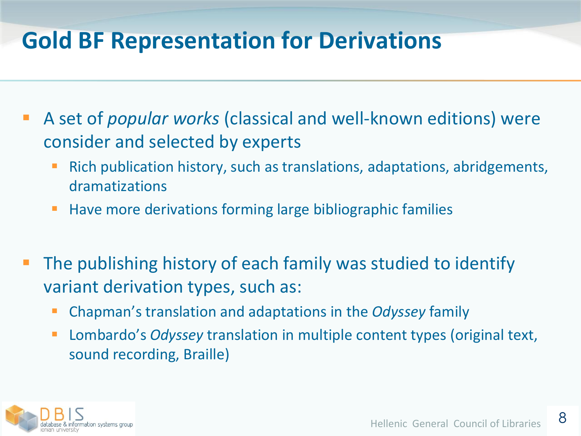#### **Gold BF Representation for Derivations**

- A set of *popular works* (classical and well-known editions) were consider and selected by experts
	- Rich publication history, such as translations, adaptations, abridgements, dramatizations
	- **Have more derivations forming large bibliographic families**
- The publishing history of each family was studied to identify variant derivation types, such as:
	- Chapman's translation and adaptations in the *Odyssey* family
	- Lombardo's *Odyssey* translation in multiple content types (original text, sound recording, Braille)

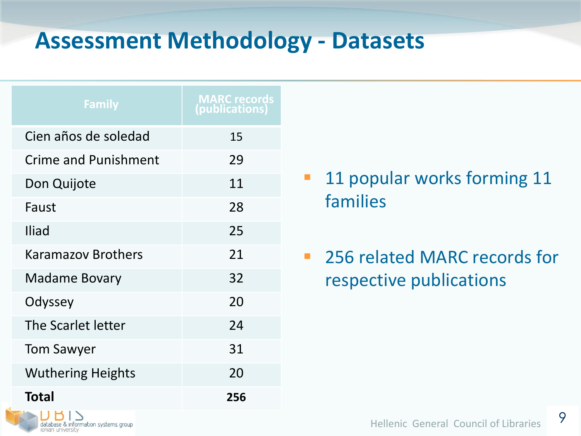#### **Assessment Methodology - Datasets**

| <b>Family</b>               | <b>MARC records</b><br>(publications) |
|-----------------------------|---------------------------------------|
| Cien años de soledad        | 15                                    |
| <b>Crime and Punishment</b> | 29                                    |
| Don Quijote                 | 11                                    |
| Faust                       | 28                                    |
| <b>Iliad</b>                | 25                                    |
| <b>Karamazov Brothers</b>   | 21                                    |
| <b>Madame Bovary</b>        | 32                                    |
| Odyssey                     | 20                                    |
| The Scarlet letter          | 24                                    |
| <b>Tom Sawyer</b>           | 31                                    |
| <b>Wuthering Heights</b>    | 20                                    |
| <b>Total</b>                | 256                                   |

database & information systems group

onian university

- **11 popular works forming 11** families
- **256 related MARC records for** respective publications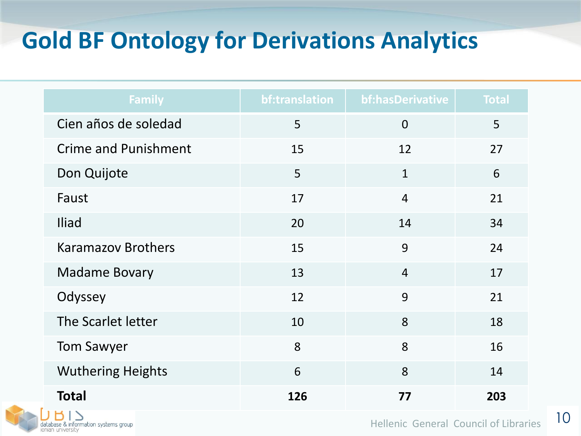### **Gold BF Ontology for Derivations Analytics**

| <b>Family</b>               | bf:translation | bf: has Derivative | <b>Total</b> |
|-----------------------------|----------------|--------------------|--------------|
| Cien años de soledad        | 5              | $\overline{0}$     | 5            |
| <b>Crime and Punishment</b> | 15             | 12                 | 27           |
| Don Quijote                 | 5              | $\mathbf{1}$       | 6            |
| Faust                       | 17             | $\overline{4}$     | 21           |
| Iliad                       | 20             | 14                 | 34           |
| <b>Karamazov Brothers</b>   | 15             | 9                  | 24           |
| <b>Madame Bovary</b>        | 13             | $\overline{4}$     | 17           |
| Odyssey                     | 12             | 9                  | 21           |
| The Scarlet letter          | 10             | 8                  | 18           |
| <b>Tom Sawyer</b>           | 8              | 8                  | 16           |
| <b>Wuthering Heights</b>    | 6              | 8                  | 14           |
| <b>Total</b><br>$1H_X$      | 126            | 77                 | 203          |

database & information systems group<br>ionian university

Hellenic General Council of Libraries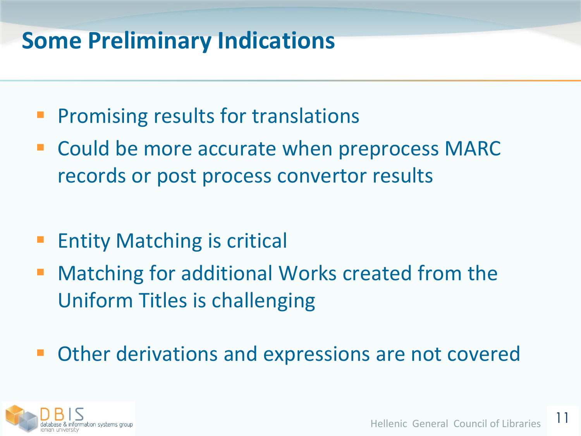#### **Some Preliminary Indications**

- Promising results for translations
- Could be more accurate when preprocess MARC records or post process convertor results
- Entity Matching is critical
- Matching for additional Works created from the Uniform Titles is challenging
- Other derivations and expressions are not covered